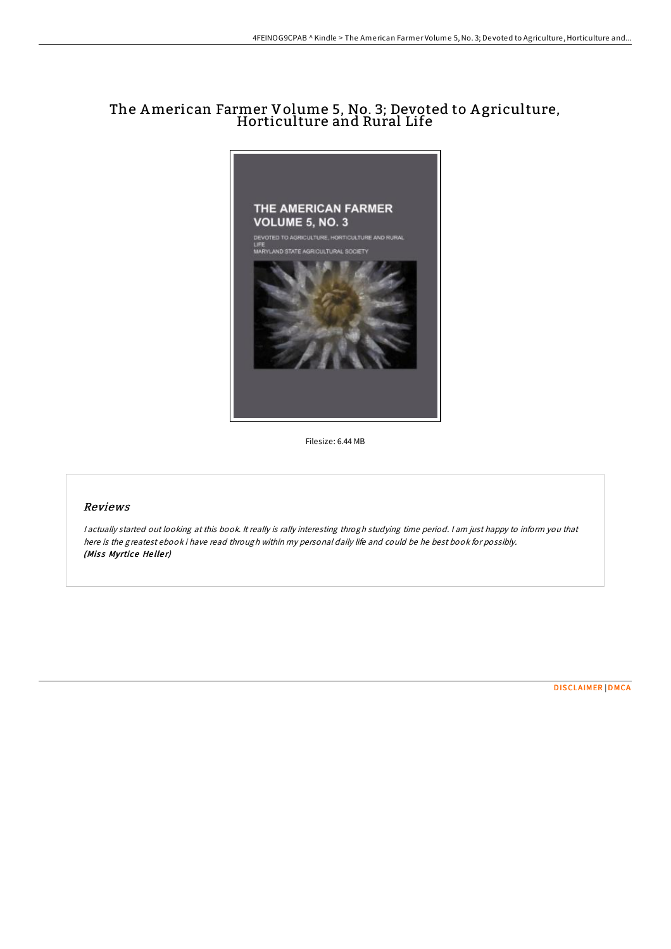## The American Farmer Volume 5, No. 3; Devoted to <sup>A</sup> griculture, Horticulture and Rural Life



Filesize: 6.44 MB

## Reviews

<sup>I</sup> actually started out looking at this book. It really is rally interesting throgh studying time period. <sup>I</sup> am just happy to inform you that here is the greatest ebook i have read through within my personal daily life and could be he best book for possibly. (Miss Myrtice Heller)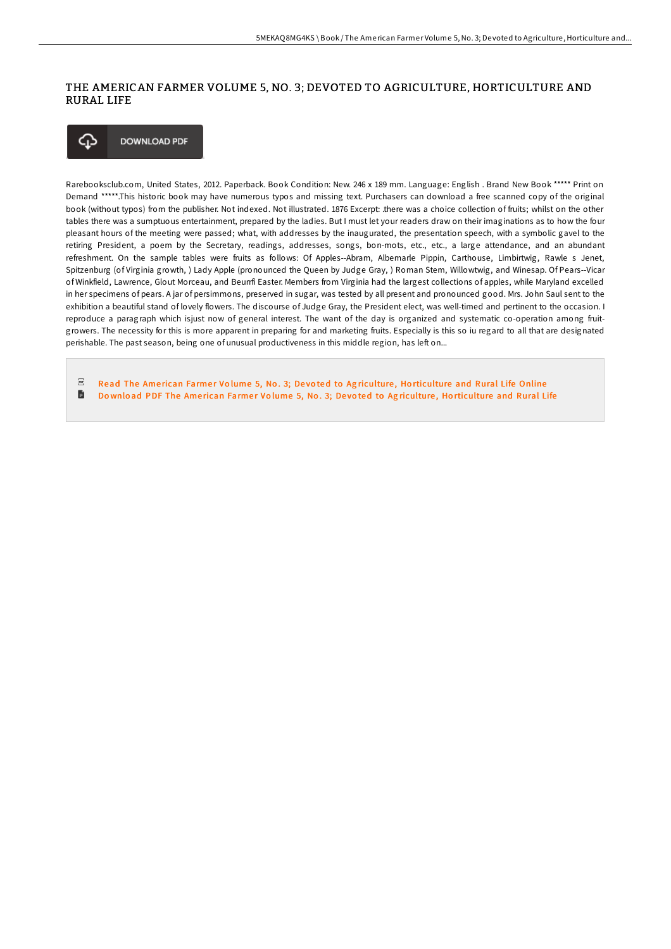## THE AMERICAN FARMER VOLUME 5, NO. 3; DEVOTED TO AGRICULTURE, HORTICULTURE AND RURAL LIFE



Rarebooksclub.com, United States, 2012. Paperback. Book Condition: New. 246 x 189 mm. Language: English . Brand New Book \*\*\*\*\* Print on Demand \*\*\*\*\*.This historic book may have numerous typos and missing text. Purchasers can download a free scanned copy of the original book (without typos) from the publisher. Not indexed. Not illustrated. 1876 Excerpt: .there was a choice collection of fruits; whilst on the other tables there was a sumptuous entertainment, prepared by the ladies. But I must let your readers draw on their imaginations as to how the four pleasant hours of the meeting were passed; what, with addresses by the inaugurated, the presentation speech, with a symbolic gavel to the retiring President, a poem by the Secretary, readings, addresses, songs, bon-mots, etc., etc., a large attendance, and an abundant refreshment. On the sample tables were fruits as follows: Of Apples--Abram, Albemarle Pippin, Carthouse, Limbirtwig, Rawle s Jenet, Spitzenburg (of Virginia growth, ) Lady Apple (pronounced the Queen by Judge Gray, ) Roman Stem, Willowtwig, and Winesap. Of Pears--Vicar of Winkfield, Lawrence, Glout Morceau, and Beurrfi Easter. Members from Virginia had the largest collections of apples, while Maryland excelled in her specimens of pears. A jar of persimmons, preserved in sugar, was tested by all present and pronounced good. Mrs. John Saul sent to the exhibition a beautiful stand of lovely flowers. The discourse of Judge Gray, the President elect, was well-timed and pertinent to the occasion. I reproduce a paragraph which isjust now of general interest. The want of the day is organized and systematic co-operation among fruitgrowers. The necessity for this is more apparent in preparing for and marketing fruits. Especially is this so iu regard to all that are designated perishable. The past season, being one of unusual productiveness in this middle region, has left on...

 $_{\rm PDF}$ Read The American Farmer Volume 5, No. 3; Devoted to Agriculture, Ho[rticulture](http://almighty24.tech/the-american-farmer-volume-5-no-3-devoted-to-agr.html) and Rural Life Online B Download PDF The American Farmer Volume 5, No. 3; Devoted to Agriculture, Ho[rticulture](http://almighty24.tech/the-american-farmer-volume-5-no-3-devoted-to-agr.html) and Rural Life